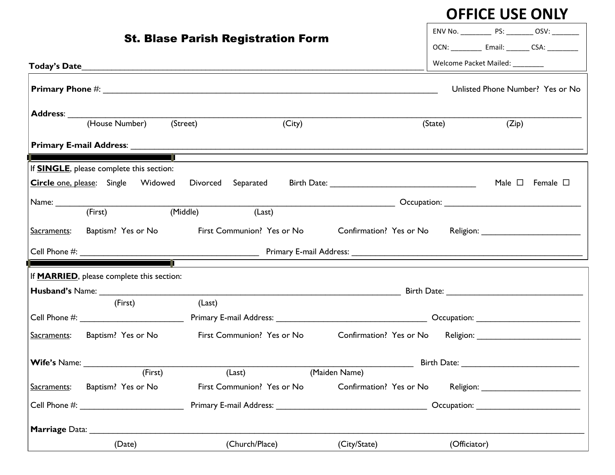## **OFFICE USE ONLY**

| <b>St. Blase Parish Registration Form</b>                                                                        | ENV No. ______________ PS: __________ OSV: _________ |  |  |  |
|------------------------------------------------------------------------------------------------------------------|------------------------------------------------------|--|--|--|
|                                                                                                                  | OCN: _____________ Email: ________ CSA: __________   |  |  |  |
|                                                                                                                  | Welcome Packet Mailed: ________                      |  |  |  |
|                                                                                                                  | Unlisted Phone Number? Yes or No                     |  |  |  |
| (House Number) (Street)<br>(City)                                                                                | (State)<br>(Zip)                                     |  |  |  |
|                                                                                                                  |                                                      |  |  |  |
|                                                                                                                  |                                                      |  |  |  |
| If <b>SINGLE</b> , please complete this section:<br><b>Circle one, please:</b> Single Widowed Divorced Separated | Male $\square$ Female $\square$                      |  |  |  |
|                                                                                                                  |                                                      |  |  |  |
| (Middle)<br>(Last)<br>(First)                                                                                    |                                                      |  |  |  |
| Baptism? Yes or No First Communion? Yes or No<br>Sacraments:                                                     |                                                      |  |  |  |
|                                                                                                                  |                                                      |  |  |  |
|                                                                                                                  |                                                      |  |  |  |
| If <b>MARRIED</b> , please complete this section:                                                                |                                                      |  |  |  |
| (Last)<br>(First)                                                                                                |                                                      |  |  |  |
|                                                                                                                  |                                                      |  |  |  |
| First Communion? Yes or No<br>Sacraments: Baptism? Yes or No                                                     |                                                      |  |  |  |
|                                                                                                                  |                                                      |  |  |  |
| (First)<br>(Last)<br>(Maiden Name)                                                                               |                                                      |  |  |  |
| Confirmation? Yes or No<br>Baptism? Yes or No<br>First Communion? Yes or No<br>Sacraments:                       |                                                      |  |  |  |
|                                                                                                                  |                                                      |  |  |  |
|                                                                                                                  |                                                      |  |  |  |
| (Church/Place)<br>(City/State)<br>(Date)                                                                         | (Officiator)                                         |  |  |  |